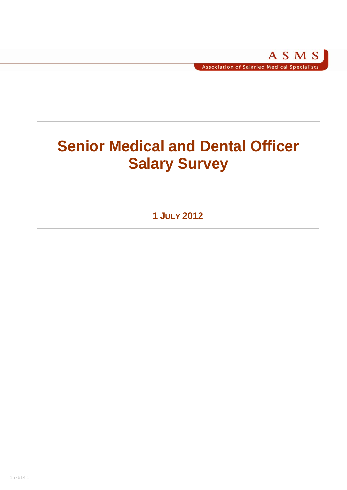# **Senior Medical and Dental Officer Salary Survey**

**1 JULY 2012**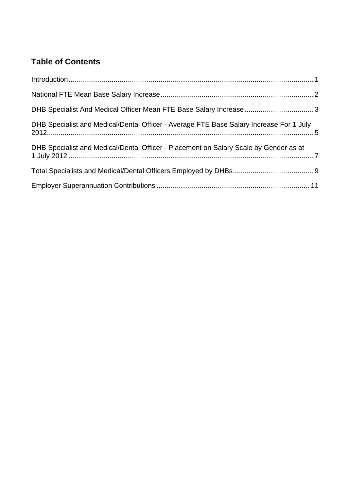# **Table of Contents**

| DHB Specialist and Medical/Dental Officer - Average FTE Base Salary Increase For 1 July |  |
|-----------------------------------------------------------------------------------------|--|
| DHB Specialist and Medical/Dental Officer - Placement on Salary Scale by Gender as at   |  |
|                                                                                         |  |
|                                                                                         |  |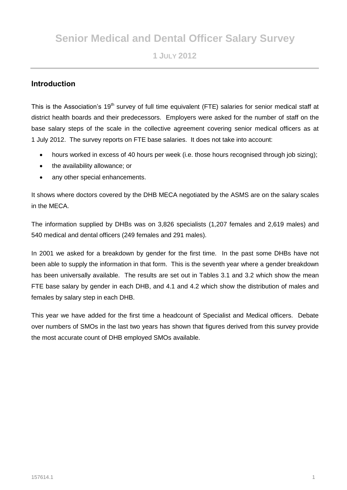# **Senior Medical and Dental Officer Salary Survey**

# **1 JULY 2012**

# **Introduction**

This is the Association's 19<sup>th</sup> survey of full time equivalent (FTE) salaries for senior medical staff at district health boards and their predecessors. Employers were asked for the number of staff on the base salary steps of the scale in the collective agreement covering senior medical officers as at 1 July 2012. The survey reports on FTE base salaries. It does not take into account:

- hours worked in excess of 40 hours per week (i.e. those hours recognised through job sizing);
- the availability allowance; or
- any other special enhancements.

It shows where doctors covered by the DHB MECA negotiated by the ASMS are on the salary scales in the MECA.

The information supplied by DHBs was on 3,826 specialists (1,207 females and 2,619 males) and 540 medical and dental officers (249 females and 291 males).

In 2001 we asked for a breakdown by gender for the first time. In the past some DHBs have not been able to supply the information in that form. This is the seventh year where a gender breakdown has been universally available. The results are set out in Tables 3.1 and 3.2 which show the mean FTE base salary by gender in each DHB, and 4.1 and 4.2 which show the distribution of males and females by salary step in each DHB.

This year we have added for the first time a headcount of Specialist and Medical officers. Debate over numbers of SMOs in the last two years has shown that figures derived from this survey provide the most accurate count of DHB employed SMOs available.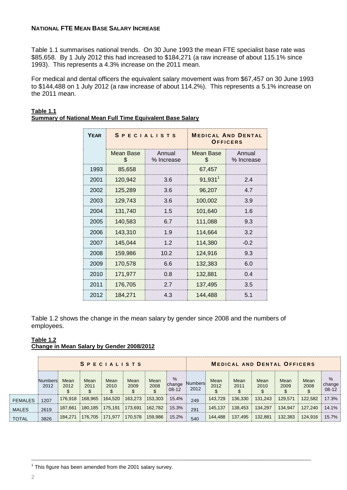## **NATIONAL FTE MEAN BASE SALARY INCREASE**

Table 1.1 summarises national trends. On 30 June 1993 the mean FTE specialist base rate was \$85,658. By 1 July 2012 this had increased to \$184,271 (a raw increase of about 115.1% since 1993). This represents a 4.3% increase on the 2011 mean.

For medical and dental officers the equivalent salary movement was from \$67,457 on 30 June 1993 to \$144,488 on 1 July 2012 (a raw increase of about 114.2%). This represents a 5.1% increase on the 2011 mean.

| <b>YEAR</b> |                 | <b>SPECIALISTS</b>   | <b>MEDICAL AND DENTAL</b><br>OFFICERS |                      |  |  |  |  |
|-------------|-----------------|----------------------|---------------------------------------|----------------------|--|--|--|--|
|             | Mean Base<br>\$ | Annual<br>% Increase | Mean Base<br>\$                       | Annual<br>% Increase |  |  |  |  |
| 1993        | 85,658          |                      | 67,457                                |                      |  |  |  |  |
| 2001        | 120,942         | 3.6                  | $91,931$ <sup>1</sup>                 | 2.4                  |  |  |  |  |
| 2002        | 125,289         | 3.6                  | 96,207                                | 4.7                  |  |  |  |  |
| 2003        | 129,743         | 3.6                  | 100,002                               | 3.9                  |  |  |  |  |
| 2004        | 131,740         | 1.5                  | 101,640                               | 1.6                  |  |  |  |  |
| 2005        | 140,583         | 6.7                  | 111,088                               | 9.3                  |  |  |  |  |
| 2006        | 143,310         | 1.9                  | 114,664                               | 3.2                  |  |  |  |  |
| 2007        | 145,044         | 1.2                  | 114,380                               | $-0.2$               |  |  |  |  |
| 2008        | 159,986         | 10.2                 | 124,916                               | 9.3                  |  |  |  |  |
| 2009        | 170,578         | 6.6                  | 132,383                               | 6.0                  |  |  |  |  |
| 2010        | 171,977         | 0.8                  | 132,881                               | 0.4                  |  |  |  |  |
| 2011        | 176,705         | 2.7                  | 137,495                               | 3.5                  |  |  |  |  |
| 2012        | 184,271         | 4.3                  | 144,488                               | 5.1                  |  |  |  |  |

# **Table 1.1 Summary of National Mean Full Time Equivalent Base Salary**

Table 1.2 shows the change in the mean salary by gender since 2008 and the numbers of employees.

#### **Table 1.2 Change in Mean Salary by Gender 2008/2012**

|                |                 |              |              | <b>SPECIALISTS</b> |              |                    | <b>MEDICAL AND DENTAL OFFICERS</b> |                 |                    |              |              |                   |              |                         |  |
|----------------|-----------------|--------------|--------------|--------------------|--------------|--------------------|------------------------------------|-----------------|--------------------|--------------|--------------|-------------------|--------------|-------------------------|--|
|                | Numbers<br>2012 | Mean<br>2012 | Mean<br>2011 | Mean<br>2010       | Mean<br>2009 | Mean<br>2008<br>\$ | %<br>change<br>$08 - 12$           | Numbers<br>2012 | Mean<br>2012<br>\$ | Mean<br>2011 | Mean<br>2010 | Mean<br>2009<br>S | Mean<br>2008 | $\%$<br>change<br>08-12 |  |
| <b>FEMALES</b> | 1207            | 176,918      | 168,965      | 164,520            | 163,273      | 153.303            | 15.4%                              | 249             | 143,729            | 136.330      | 131,243      | 129,571           | 122.582      | 17.3%                   |  |
| <b>MALES</b>   | 2619            | 187,661      | 180.185      | 175.191            | 173,691      | 162.782            | 15.3%                              | 291             | 145,137            | 138.453      | 134,297      | 134.947           | 127,240      | 14.1%                   |  |
| <b>TOTAL</b>   | 3826            | 184,271      | 176,705      | 171,977            | 170,578      | 159,986            | 15.2%                              | 540             | 144,488            | 137.495      | 132,881      | 132,383           | 124.916      | 15.7%                   |  |

\_\_\_\_\_\_\_\_\_\_\_\_\_\_\_\_\_\_\_\_\_\_\_\_\_\_\_\_\_\_\_\_\_\_\_\_\_\_\_\_\_\_\_\_\_\_\_\_\_\_\_\_\_\_\_\_\_\_\_\_\_\_\_\_\_\_\_\_\_\_\_\_\_\_\_\_\_\_\_\_\_\_\_\_\_\_\_\_\_\_\_\_\_\_\_\_\_\_\_\_\_\_\_\_\_\_\_\_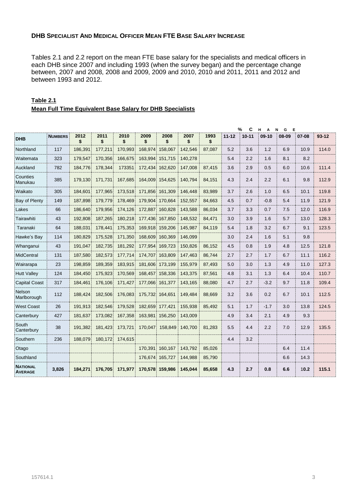# **DHB SPECIALIST AND MEDICAL OFFICER MEAN FTE BASE SALARY INCREASE**

Tables 2.1 and 2.2 report on the mean FTE base salary for the specialists and medical officers in each DHB since 2007 and including 1993 (when the survey began) and the percentage change between, 2007 and 2008, 2008 and 2009, 2009 and 2010, 2010 and 2011, 2011 and 2012 and between 1993 and 2012.

|                       |                |            |            |            |            |            |            |            |           | C<br>%    | н<br>A  | E<br>G<br>N |       |           |
|-----------------------|----------------|------------|------------|------------|------------|------------|------------|------------|-----------|-----------|---------|-------------|-------|-----------|
| <b>DHB</b>            | <b>NUMBERS</b> | 2012<br>\$ | 2011<br>\$ | 2010<br>\$ | 2009<br>\$ | 2008<br>\$ | 2007<br>\$ | 1993<br>\$ | $11 - 12$ | $10 - 11$ | $09-10$ | 08-09       | 07-08 | $93 - 12$ |
| Northland             | 117            | 186,391    | 177,211    | 170,993    | 168,974    | 158,067    | 142,546    | 87.087     | 5.2       | 3.6       | 1.2     | 6.9         | 10.9  | 114.0     |
| Waitemata             | 323            | 179,547    | 170,356    | 166,675    | 163,994    | 151,715    | 140,278    |            | 5.4       | 2.2       | 1.6     | 8.1         | 8.2   |           |
| Auckland              | 782            | 184,776    | 178,344    | 173351     | 172,434    | 162,620    | 147,008    | 87.415     | 3.6       | 2.9       | 0.5     | 6.0         | 10.6  | 111.4     |
| Counties<br>Manukau   | 385            | 179,130    | 171,731    | 167,685    | 164,009    | 154,625    | 140,794    | 84,151     | 4.3       | 2.4       | 2.2     | 6.1         | 9.8   | 112.9     |
| Waikato               | 305            | 184,601    | 177,965    | 173,518    | 171,856    | 161,309    | 146,448    | 83,989     | 3.7       | 2.6       | 1.0     | 6.5         | 10.1  | 119.8     |
| Bay of Plenty         | 149            | 187,898    | 179,779    | 178,469    | 179,904    | 170.664    | 152,557    | 84.663     | 4.5       | 0.7       | $-0.8$  | 5.4         | 11.9  | 121.9     |
| Lakes                 | 66             | 186,640    | 179,956    | 174,126    | 172,887    | 160,828    | 143,588    | 86,034     | 3.7       | 3.3       | 0.7     | 7.5         | 12.0  | 116.9     |
| Tairawhiti            | 43             | 192.808    | 187,265    | 180.218    | 177.436    | 167.850    | 148,532    | 84.471     | 3.0       | 3.9       | 1.6     | 5.7         | 13.0  | 128.3     |
| Taranaki              | 64             | 188,031    | 178,441    | 175,353    | 169,918    | 159,206    | 145,987    | 84,119     | 5.4       | 1.8       | 3.2     | 6.7         | 9.1   | 123.5     |
| Hawke's Bay           | 114            | 180,829    | 175,528    | 171,350    | 168,609    | 160,369    | 146,099    |            | 3.0       | 2.4       | 1.6     | 5.1         | 9.8   |           |
| Whanganui             | 43             | 191.047    | 182,735    | 181,292    | 177,954    | 169,723    | 150,826    | 86.152     | 4.5       | 0.8       | 1.9     | 4.8         | 12.5  | 121.8     |
| <b>MidCentral</b>     | 131            | 187.580    | 182,573    | 177.714    | 174,707    | 163,809    | 147,463    | 86.744     | 2.7       | 2.7       | 1.7     | 6.7         | 11.1  | 116.2     |
| Wairarapa             | 23             | 198,859    | 189,359    | 183,915    | 181,606    | 173,199    | 155,979    | 87,493     | 5.0       | 3.0       | 1.3     | 4.9         | 11.0  | 127.3     |
| <b>Hutt Vallev</b>    | 124            | 184.450    | 175,923    | 170.569    | 168.457    | 158,336    | 143,375    | 87,561     | 4.8       | 3.1       | 1.3     | 6.4         | 10.4  | 110.7     |
| <b>Capital Coast</b>  | 317            | 184,461    | 176,106    | 171,427    | 177,066    | 161,377    | 143,165    | 88,080     | 4.7       | 2.7       | $-3.2$  | 9.7         | 11.8  | 109.4     |
| Nelson<br>Marlborough | 112            | 188,424    | 182,506    | 176,083    | 175,732    | 164,651    | 149,484    | 88,669     | 3.2       | 3.6       | 0.2     | 6.7         | 10.1  | 112.5     |
| <b>West Coast</b>     | 26             | 191,913    | 182,546    | 179.528    | 182.659    | 177,421    | 155,938    | 85,492     | 5.1       | 1.7       | $-1.7$  | 3.0         | 13.8  | 124.5     |
| Canterbury            | 427            | 181,637    | 173,082    | 167,358    | 163,981    | 156,250    | 143,009    |            | 4.9       | 3.4       | 2.1     | 4.9         | 9.3   |           |
| South<br>Canterbury   | 38             | 191,382    | 181,423    | 173,721    | 170,047    | 158,849    | 140,700    | 81,283     | 5.5       | 4.4       | 2.2     | 7.0         | 12.9  | 135.5     |
| Southern              | 236            | 188,079    | 180,172    | 174.615    |            |            |            |            | 4.4       | 3.2       |         |             |       |           |
| Otago                 |                |            |            |            | 170.391    | 160.167    | 143,792    | 85.026     |           |           |         | 6.4         | 11.4  |           |
| Southland             |                |            |            |            | 176,674    | 165,727    | 144,988    | 85,790     |           |           |         | 6.6         | 14.3  |           |

**3,826 184,271 176,705 171,977 170,578 159,986 145,044 85,658 4.3 2.7 0.8 6.6** 1**0.2 115.1**

# **Table 2.1 Mean Full Time Equivalent Base Salary for DHB Specialists**

**NATIONAL AVERAGE**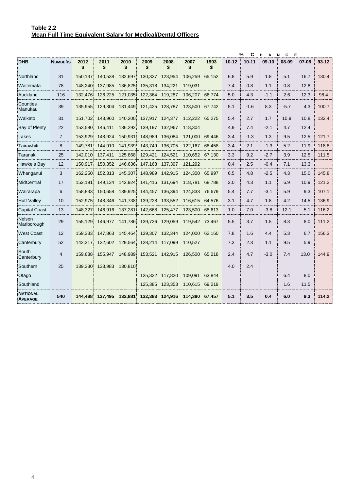| %<br>C<br>н<br>$\mathbf{A}$<br>N<br>G<br>E |                |            |            |            |            |            |            |            |           |           |        |        |       |           |
|--------------------------------------------|----------------|------------|------------|------------|------------|------------|------------|------------|-----------|-----------|--------|--------|-------|-----------|
| <b>DHB</b>                                 | <b>NUMBERS</b> | 2012<br>\$ | 2011<br>\$ | 2010<br>\$ | 2009<br>\$ | 2008<br>\$ | 2007<br>\$ | 1993<br>\$ | $10 - 12$ | $10 - 11$ | 09-10  | 08-09  | 07-08 | $93 - 12$ |
| Northland                                  | 31             | 150.137    | 140.538    | 132.697    | 130.337    | 123.954    | 106.259    | 65,152     | 6.8       | 5.9       | 1.8    | 5.1    | 16.7  | 130.4     |
| Waitemata                                  | 78             | 148,240    | 137,985    | 136,825    | 135,318    | 134,221    | 119,031    |            | 7.4       | 0.8       | 1.1    | 0.8    | 12.8  |           |
| Auckland                                   | 116            | 132,476    | 126,225    | 121,035    | 122,364    | 119,287    | 106,207    | 66,774     | 5.0       | 4.3       | $-1.1$ | 2.6    | 12.3  | 98.4      |
| Counties<br>Manukau                        | 39             | 135,955    | 129,304    | 131,449    | 121,425    | 128,787    | 123,500    | 67,742     | 5.1       | $-1.6$    | 8.3    | $-5.7$ | 4.3   | 100.7     |
| Waikato                                    | 31             | 151.702    | 143,960    | 140,200    | 137,917    | 124,377    | 112,222    | 65,275     | 5.4       | 2.7       | 1.7    | 10.9   | 10.8  | 132.4     |
| Bay of Plenty                              | 22             | 153,580    | 146,411    | 136.292    | 139,197    | 132,967    | 118.304    |            | 4.9       | 7.4       | $-2.1$ | 4.7    | 12.4  |           |
| Lakes                                      | $\overline{7}$ | 153.929    | 148.924    | 150.931    | 148,989    | 136,084    | 121,000    | 69.446     | 3.4       | $-1.3$    | 1.3    | 9.5    | 12.5  | 121.7     |
| Tairawhiti                                 | 8              | 149,781    | 144,910    | 141,939    | 143,749    | 136,705    | 122,167    | 68,458     | 3.4       | 2.1       | $-1.3$ | 5.2    | 11.9  | 118.8     |
| Taranaki                                   | 25             | 142,010    | 137,411    | 125.868    | 129,421    | 124,521    | 110,652    | 67,130     | 3.3       | 9.2       | $-2.7$ | 3.9    | 12.5  | 111.5     |
| Hawke's Bay                                | 12             | 150,917    | 150,352    | 146,636    | 147,168    | 137,397    | 121,292    |            | 0.4       | 2.5       | $-0.4$ | 7.1    | 13.3  |           |
| Whanganui                                  | 3              | 162,250    | 152,313    | 145.307    | 148.989    | 142.915    | 124,300    | 65.997     | 6.5       | 4.8       | $-2.5$ | 4.3    | 15.0  | 145.8     |
| MidCentral                                 | 17             | 152.191    | 149,134    | 142.924    | 141,416    | 131,694    | 118,781    | 68,788     | 2.0       | 4.3       | 1.1    | 6.9    | 10.9  | 121.2     |
| Wairarapa                                  | 6              | 158,833    | 150,658    | 139,925    | 144,457    | 136,394    | 124,833    | 76,679     | 5.4       | 7.7       | $-3.1$ | 5.9    | 9.3   | 107.1     |
| <b>Hutt Valley</b>                         | 10             | 152,975    | 148,346    | 141,738    | 139,228    | 133,552    | 116,615    | 64,576     | 3.1       | 4.7       | 1.8    | 4.2    | 14.5  | 136.9     |
| <b>Capital Coast</b>                       | 13             | 148,327    | 146,916    | 137,281    | 142,668    | 125,477    | 123,500    | 68,613     | 1.0       | 7.0       | $-3.8$ | 12.1   | 5.1   | 116.2     |
| <b>Nelson</b><br>Marlborough               | 29             | 155,129    | 146,977    | 141,786    | 139,736    | 129,059    | 119,542    | 73,467     | 5.5       | 3.7       | 1.5    | 8.3    | 8.0   | 111.2     |
| <b>West Coast</b>                          | 12             | 159,333    | 147,863    | 145,464    | 139,307    | 132,344    | 124,000    | 62,160     | 7.8       | 1.6       | 4.4    | 5.3    | 6.7   | 156.3     |
| Canterbury                                 | 52             | 142,317    | 132.602    | 129.564    | 128,214    | 117.099    | 110.527    |            | 7.3       | 2.3       | 1.1    | 9.5    | 5.9   |           |
| South<br>Canterbury                        | $\overline{4}$ | 159,688    | 155,947    | 148,989    | 153,521    | 142,915    | 126,500    | 65,218     | 2.4       | 4.7       | $-3.0$ | 7.4    | 13.0  | 144.9     |
| Southern                                   | 25             | 139,330    | 133,983    | 130,810    |            |            |            |            | 4.0       | 2.4       |        |        |       |           |
| Otago                                      |                |            |            |            | 125,322    | 117,820    | 109,091    | 63.844     |           |           |        | 6.4    | 8.0   |           |
| Southland                                  |                |            |            |            | 125,385    | 123,353    | 110,615    | 69,219     |           |           |        | 1.6    | 11.5  |           |
| <b>NATIONAL</b><br><b>AVERAGE</b>          | 540            | 144.488    | 137.495    | 132.881    | 132,383    | 124.916    | 114.380    | 67.457     | 5.1       | 3.5       | 0.4    | 6.0    | 9.3   | 114.2     |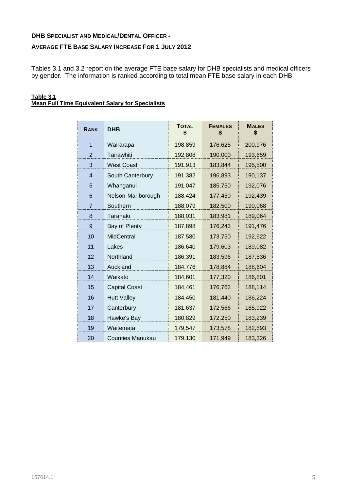# **DHB SPECIALIST AND MEDICAL/DENTAL OFFICER -**

## **AVERAGE FTE BASE SALARY INCREASE FOR 1 JULY 2012**

Tables 3.1 and 3.2 report on the average FTE base salary for DHB specialists and medical officers by gender. The information is ranked according to total mean FTE base salary in each DHB.

#### **Table 3.1 Mean Full Time Equivalent Salary for Specialists**

| <b>RANK</b>    | <b>DHB</b>           | <b>TOTAL</b><br>\$ | <b>FEMALES</b><br>\$ | <b>MALES</b><br>\$ |
|----------------|----------------------|--------------------|----------------------|--------------------|
| $\mathbf 1$    | Wairarapa            | 198,859            | 176,625              | 200,976            |
| $\overline{2}$ | Tairawhiti           | 192,808            | 190,000              | 193,659            |
| 3              | <b>West Coast</b>    | 191,913            | 183,844              | 195,500            |
| 4              | South Canterbury     | 191,382            | 196,893              | 190,137            |
| 5              | Whanganui            | 191,047            | 185,750              | 192,076            |
| 6              | Nelson-Marlborough   | 188,424            | 177,450              | 192,439            |
| 7              | Southern             | 188,079            | 182,500              | 190,068            |
| 8              | Taranaki             | 188,031            | 183,981              | 189,064            |
| 9              | <b>Bay of Plenty</b> | 187,898            | 176,243              | 191,476            |
| 10             | <b>MidCentral</b>    | 187,580            | 173,750              | 192,622            |
| 11             | Lakes                | 186,640            | 179,603              | 189,082            |
| 12             | Northland            | 186,391            | 183,596              | 187,536            |
| 13             | Auckland             | 184,776            | 178,884              | 188,604            |
| 14             | Waikato              | 184,601            | 177,320              | 186,801            |
| 15             | <b>Capital Coast</b> | 184,461            | 176,762              | 188,114            |
| 16             | <b>Hutt Valley</b>   | 184,450            | 181,440              | 186,224            |
| 17             | Canterbury           | 181,637            | 172,566              | 185,922            |
| 18             | Hawke's Bay          | 180,829            | 172,250              | 183,239            |
| 19             | Waitemata            | 179,547            | 173,578              | 182,893            |
| 20             | Counties Manukau     | 179,130            | 171,949              | 183,326            |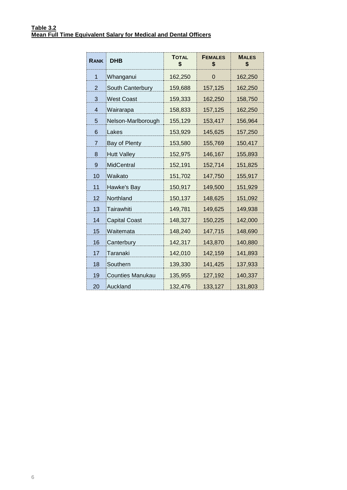| <b>RANK</b> | <b>DHB</b>              | <b>TOTAL</b><br>\$ | <b>FEMALES</b><br>\$ | <b>MALES</b><br>\$ |
|-------------|-------------------------|--------------------|----------------------|--------------------|
| 1           | Whanganui               | 162,250            | 0                    | 162,250            |
| 2           | South Canterbury        | 159,688            | 157,125              | 162,250            |
| 3           | <b>West Coast</b>       | 159,333            | 162,250              | 158,750            |
| 4           | Wairarapa               | 158,833            | 157,125              | 162,250            |
| 5           | Nelson-Marlborough      | 155,129            | 153,417              | 156,964            |
| 6           | Lakes                   | 153,929            | 145,625              | 157,250            |
| 7           | Bay of Plenty           | 153,580            | 155,769              | 150,417            |
| 8           | <b>Hutt Valley</b>      | 152,975            | 146,167              | 155,893            |
| 9           | <b>MidCentral</b>       | 152,191            | 152,714              | 151,825            |
| 10          | Waikato                 | 151,702            | 147,750              | 155,917            |
| 11          | Hawke's Bay             | 150,917            | 149,500              | 151,929            |
| 12          | Northland               | 150,137            | 148,625              | 151,092            |
| 13          | Tairawhiti              | 149,781            | 149,625              | 149,938            |
| 14          | <b>Capital Coast</b>    | 148,327            | 150,225              | 142,000            |
| 15          | Waitemata               | 148,240            | 147,715              | 148,690            |
| 16          | Canterbury              | 142,317            | 143,870              | 140,880            |
| 17          | Taranaki                | 142,010            | 142,159              | 141,893            |
| 18          | Southern                | 139,330            | 141,425              | 137,933            |
| 19          | <b>Counties Manukau</b> | 135,955            | 127,192              | 140,337            |
| 20          | Auckland                | 132,476            | 133,127              | 131,803            |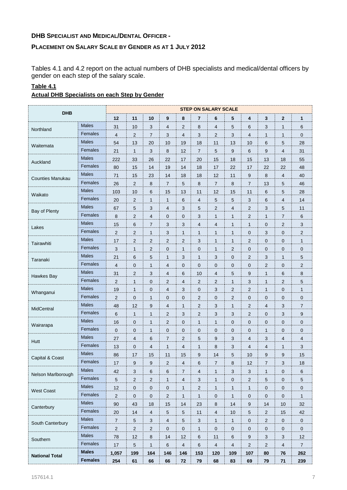# **DHB SPECIALIST AND MEDICAL/DENTAL OFFICER -**

# **PLACEMENT ON SALARY SCALE BY GENDER AS AT 1 JULY 2012**

Tables 4.1 and 4.2 report on the actual numbers of DHB specialists and medical/dental officers by gender on each step of the salary scale.

# **Table 4.1**

| <b>Actual DHB Specialists on each Step by Gender</b> |
|------------------------------------------------------|
|------------------------------------------------------|

| <b>DHB</b>              | <b>STEP ON SALARY SCALE</b> |                |                |                         |                         |                |                |                |                         |                         |                  |                     |                |
|-------------------------|-----------------------------|----------------|----------------|-------------------------|-------------------------|----------------|----------------|----------------|-------------------------|-------------------------|------------------|---------------------|----------------|
|                         |                             | 12             | 11             | 10                      | 9                       | 8              | 7              | 6              | 5                       | 4                       | 3                | $\mathbf{2}$        | 1              |
| Northland               | <b>Males</b>                | 31             | 10             | 3                       | 4                       | 2              | 8              | 4              | 5                       | 6                       | 3                | $\mathbf{1}$        | 6              |
|                         | Females                     | $\overline{4}$ | $\overline{c}$ | $\overline{7}$          | 3                       | 4              | 3              | $\overline{2}$ | 3                       | 4                       | $\mathbf{1}$     | 1                   | 0              |
| Waitemata               | <b>Males</b>                | 54             | 13             | 20                      | 10                      | 19             | 18             | 11             | 13                      | 10                      | 6                | 5                   | 28             |
|                         | Females                     | 21             | $\mathbf{1}$   | 3                       | 8                       | 12             | $\overline{7}$ | 5              | $9\,$                   | 6                       | 9                | $\overline{4}$      | 31             |
| Auckland                | <b>Males</b>                | 222            | 33             | 26                      | 22                      | 17             | 20             | 15             | 18                      | 15                      | 13               | 18                  | 55             |
|                         | Females                     | 80             | 15             | 14                      | 19                      | 14             | 18             | 17             | 22                      | 17                      | 22               | 22                  | 48             |
| <b>Counties Manukau</b> | <b>Males</b>                | 71             | 15             | 23                      | 14                      | 18             | 18             | 12             | 11                      | 9                       | 8                | $\overline{4}$      | 40             |
|                         | Females                     | 26             | $\mathbf 2$    | 8                       | $\overline{7}$          | 5              | 8              | $\overline{7}$ | 8                       | $\overline{7}$          | 13               | 5                   | 46             |
| Waikato                 | <b>Males</b>                | 103            | 10             | 6                       | 15                      | 13             | 11             | 12             | 15                      | 11                      | 6                | 5                   | 28             |
|                         | Females                     | 20             | $\overline{2}$ | $\mathbf{1}$            | $\mathbf{1}$            | 6              | $\overline{4}$ | 5              | 5                       | 3                       | 6                | $\overline{4}$      | 14             |
|                         | <b>Males</b>                | 67             | 5              | 3                       | 4                       | 3              | 5              | $\overline{2}$ | 4                       | $\overline{c}$          | 3                | 5                   | 11             |
| Bay of Plenty           | Females                     | 8              | 2              | 4                       | $\mathbf 0$             | 0              | 3              | $\mathbf{1}$   | 1                       | $\overline{c}$          | $\mathbf{1}$     | $\overline{7}$      | 6              |
|                         | <b>Males</b>                | 15             | 6              | $\overline{7}$          | 3                       | 3              | $\overline{4}$ | $\overline{4}$ | 1                       | $\mathbf{1}$            | $\boldsymbol{0}$ | $\overline{2}$      | 3              |
| Lakes                   | Females                     | $\sqrt{2}$     | 2              | $\mathbf{1}$            | $\sqrt{3}$              | 1              | $\mathbf{1}$   | $\mathbf{1}$   | 1                       | 0                       | 3                | 0                   | $\overline{c}$ |
| Tairawhiti              | <b>Males</b>                | 17             | 2              | 2                       | $\overline{c}$          | 2              | 3              | $\mathbf{1}$   | 1                       | $\overline{c}$          | 0                | $\mathbf{0}$        | $\mathbf{1}$   |
|                         | Females                     | 3              | 1              | $\overline{c}$          | $\pmb{0}$               | $\mathbf{1}$   | $\mathbf 0$    | $\mathbf{1}$   | $\overline{2}$          | 0                       | $\mathbf 0$      | $\mathbf 0$         | $\pmb{0}$      |
| Taranaki                | <b>Males</b>                | 21             | 6              | 5                       | $\mathbf{1}$            | 3              | 1              | 3              | $\mathbf 0$             | $\overline{c}$          | 3                | 1                   | 5              |
|                         | Females                     | 4              | 0              | $\mathbf{1}$            | 4                       | 0              | $\mathbf{0}$   | 0              | 0                       | 0                       | 2                | $\mathbf 0$         | 2              |
| Hawkes Bay              | <b>Males</b>                | 31             | $\overline{2}$ | 3                       | 4                       | 6              | 10             | 4              | 5                       | 9                       | $\mathbf{1}$     | 6                   | 8              |
|                         | Females                     | $\sqrt{2}$     | $\mathbf{1}$   | $\pmb{0}$               | 2                       | $\overline{4}$ | $\overline{2}$ | $\overline{2}$ | $\mathbf{1}$            | 3                       | $\mathbf{1}$     | $\overline{2}$      | 5              |
| Whanganui               | <b>Males</b>                | 19             | 1              | 0                       | 4                       | 3              | $\mathbf 0$    | 3              | $\overline{\mathbf{c}}$ | 2                       | 1                | $\mathbf{0}$        | $\mathbf{1}$   |
|                         | Females                     | 2              | 0              | $\mathbf{1}$            | $\pmb{0}$               | $\mathbf 0$    | $\overline{2}$ | $\mathbf 0$    | $\overline{2}$          | 0                       | 0                | $\mathbf 0$         | $\pmb{0}$      |
| MidCentral              | <b>Males</b>                | 48             | 12             | 9                       | 4                       | 1              | $\overline{2}$ | 3              | 1                       | $\overline{c}$          | $\overline{4}$   | 3                   | $\overline{7}$ |
|                         | Females                     | 6              | 1              | $\mathbf{1}$            | $\overline{c}$          | 3              | 2              | 3              | 3                       | 2                       | $\mathbf 0$      | 3                   | 9              |
| Wairarapa               | <b>Males</b>                | 16             | 0              | $\mathbf{1}$            | 2                       | $\mathbf 0$    | $\mathbf{1}$   | $\mathbf{1}$   | 0                       | 0                       | 0                | $\mathbf 0$         | $\pmb{0}$      |
|                         | Females                     | $\mathbf 0$    | 0              | $\mathbf{1}$            | $\mathbf 0$             | $\mathbf 0$    | 0              | $\mathbf 0$    | $\mathbf 0$             | 0                       | $\mathbf{1}$     | 0                   | 0              |
| Hutt                    | <b>Males</b>                | 27             | 4              | 6                       | $\overline{7}$          | 2              | 5              | 9              | 3                       | 4                       | 3                | 4                   | 4              |
|                         | Females                     | 13             | 0              | $\overline{\mathbf{4}}$ | $\mathbf{1}$            | 4              | $\mathbf{1}$   | 8              | 3                       | 4                       | 4                | $\mathbf{1}$        | 3              |
| Capital & Coast         | <b>Males</b>                | 86             | 17             | 15                      | 11                      | 15             | 9              | 14             | 5                       | 10                      | 9                | 9                   | 15             |
|                         | Females                     | 17             | 9              | 9                       | $\overline{\mathbf{c}}$ | 4              | 6              | 7              | 8                       | 12                      | 7                | 3                   | 18             |
| Nelson Marlborough      | <b>Males</b>                | 42             | 3              | 6                       | 6                       | $\overline{7}$ | 4              | $\mathbf{1}$   | $\sqrt{3}$              | $\sqrt{3}$              | $\mathbf{1}$     | $\mathbf 0$         | $\,6$          |
|                         | Females                     | $\sqrt{5}$     | $\overline{c}$ | $\overline{c}$          | $\mathbf{1}$            | $\overline{4}$ | 3              | $\mathbf{1}$   | $\pmb{0}$               | $\overline{\mathbf{c}}$ | 5                | $\mathbf 0$         | 5              |
| West Coast              | Males                       | 12             | $\pmb{0}$      | 0                       | $\mathbf 0$             | 1              | $\mathbf{2}$   | $\mathbf{1}$   | $\mathbf{1}$            | $\mathbf{1}$            | 0                | $\mathbf 0$         | $\mathbf 0$    |
|                         | Females                     | $\sqrt{2}$     | $\pmb{0}$      | $\pmb{0}$               | $\mathbf 2$             | $\mathbf{1}$   | $\mathbf{1}$   | $\mathbf 0$    | $\mathbf{1}$            | $\pmb{0}$               | $\mathbf 0$      | $\mathbf 0$         | $\mathbf{1}$   |
| Canterbury              | <b>Males</b>                | 90             | 43             | 18                      | 15                      | 14             | 23             | 8              | 14                      | 9                       | 14               | 10                  | 32             |
|                         | Females                     | 20             | 14             | 4                       | $5\phantom{.0}$         | 5              | 11             | 4              | 10                      | $\sqrt{5}$              | $\overline{2}$   | 15                  | 42             |
| South Canterbury        | Males                       | $\overline{7}$ | $\mathbf 5$    | 3                       | $\overline{4}$          | 5              | 3              | $\mathbf{1}$   | $\mathbf{1}$            | $\pmb{0}$               | $\overline{c}$   | $\mathbf 0$         | $\pmb{0}$      |
|                         | Females                     | $\sqrt{2}$     | $\sqrt{2}$     | $\overline{c}$          | $\pmb{0}$               | $\mathbf 0$    | $\mathbf{1}$   | $\mathbf 0$    | $\pmb{0}$               | $\pmb{0}$               | $\mathbf 0$      | $\mathsf{O}\xspace$ | $\mathbf 0$    |
| Southern                | Males                       | 78             | 12             | 8                       | 14                      | 12             | 6              | 11             | 6                       | 9                       | $\sqrt{3}$       | $\mathbf{3}$        | 12             |
|                         | Females                     | 17             | $\mathbf 5$    | $\mathbf{1}$            | $\,6\,$                 | $\overline{4}$ | $\,6\,$        | $\sqrt{4}$     | $\overline{4}$          | $\overline{c}$          | $\sqrt{2}$       | $\overline{4}$      | $\overline{7}$ |
| <b>National Total</b>   | <b>Males</b>                | 1,057          | 199            | 164                     | 146                     | 146            | 153            | 120            | 109                     | 107                     | 80               | 76                  | 262            |
|                         | <b>Females</b>              | 254            | 61             | 66                      | 66                      | 72             | 79             | 68             | 83                      | 69                      | 79               | 71                  | 239            |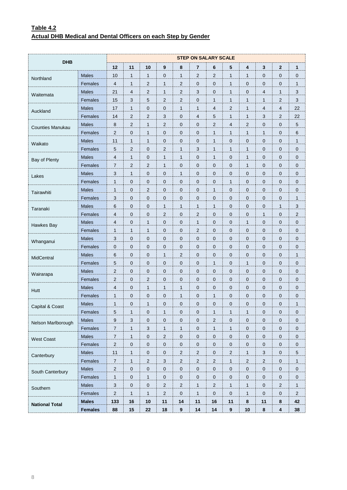# **Table 4.2 Actual DHB Medical and Dental Officers on each Step by Gender**

| <b>DHB</b>              |                |                          |                |                  |                |                | <b>STEP ON SALARY SCALE</b> |                |                |                     |                  |                |                |
|-------------------------|----------------|--------------------------|----------------|------------------|----------------|----------------|-----------------------------|----------------|----------------|---------------------|------------------|----------------|----------------|
|                         |                | 12                       | 11             | 10               | 9              | 8              | $\overline{7}$              | 6              | 5              | 4                   | 3                | $\mathbf{2}$   | 1              |
| Northland               | <b>Males</b>   | 10                       | $\mathbf{1}$   | $\mathbf{1}$     | $\pmb{0}$      | $\mathbf{1}$   | $\overline{c}$              | $\overline{2}$ | $\mathbf{1}$   | $\mathbf{1}$        | $\boldsymbol{0}$ | 0              | $\mathbf 0$    |
|                         | Females        | $\overline{4}$           | 1              | $\overline{c}$   | $\mathbf{1}$   | $\overline{2}$ | $\mathbf 0$                 | 0              | $\mathbf{1}$   | $\mathbf 0$         | $\mathbf 0$      | 0              | $\mathbf{1}$   |
| Waitemata               | Males          | 21                       | 4              | 2                | $\mathbf{1}$   | $\sqrt{2}$     | 3                           | 0              | $\mathbf{1}$   | $\mathbf{0}$        | 4                | 1              | 3              |
|                         | Females        | 15                       | 3              | 5                | $\sqrt{2}$     | $\overline{2}$ | $\mathbf 0$                 | $\mathbf{1}$   | $\mathbf{1}$   | $\mathbf{1}$        | $\mathbf{1}$     | $\overline{c}$ | 3              |
| Auckland                | <b>Males</b>   | 17                       | 1              | $\pmb{0}$        | $\mathbf 0$    | $\mathbf{1}$   | $\mathbf{1}$                | 4              | $\overline{2}$ | $\mathbf{1}$        | 4                | 4              | 22             |
|                         | Females        | 14                       | 2              | $\overline{c}$   | 3              | 0              | 4                           | 5              | 1              | $\mathbf{1}$        | 3                | 2              | 22             |
| <b>Counties Manukau</b> | <b>Males</b>   | $\bf 8$                  | $\overline{c}$ | $\mathbf{1}$     | $\sqrt{2}$     | 0              | $\boldsymbol{0}$            | $\overline{c}$ | $\overline{4}$ | 2                   | $\mathbf 0$      | 0              | $\sqrt{5}$     |
|                         | Females        | $\overline{2}$           | 0              | $\mathbf{1}$     | $\mathbf 0$    | 0              | $\mathbf 0$                 | $\mathbf{1}$   | $\mathbf{1}$   | $\mathbf{1}$        | $\mathbf{1}$     | 0              | 6              |
| Waikato                 | Males          | 11                       | 1              | $\mathbf{1}$     | $\mathbf 0$    | 0              | $\mathbf 0$                 | $\mathbf{1}$   | $\mathbf 0$    | $\mathbf{0}$        | $\mathbf 0$      | 0              | $\mathbf{1}$   |
|                         | Females        | 5                        | $\overline{c}$ | $\pmb{0}$        | $\sqrt{2}$     | $\mathbf{1}$   | 3                           | $\mathbf{1}$   | $\mathbf{1}$   | $\mathbf{1}$        | $\mathbf 0$      | 0              | $\pmb{0}$      |
| Bay of Plenty           | <b>Males</b>   | $\overline{\mathcal{L}}$ | 1              | $\boldsymbol{0}$ | $\mathbf{1}$   | $\mathbf{1}$   | $\mathbf 0$                 | 1              | $\mathbf 0$    | $\mathbf{1}$        | $\mathbf 0$      | 0              | $\mathbf 0$    |
|                         | Females        | 7                        | 2              | 2                | 1              | 0              | $\mathbf 0$                 | 0              | $\mathbf 0$    | 1                   | $\mathbf 0$      | 0              | $\mathbf 0$    |
| Lakes                   | <b>Males</b>   | 3                        | $\mathbf{1}$   | $\pmb{0}$        | $\pmb{0}$      | $\mathbf{1}$   | $\boldsymbol{0}$            | 0              | $\mathbf 0$    | $\mathbf 0$         | $\mathbf 0$      | 0              | $\pmb{0}$      |
|                         | Females        | $\mathbf{1}$             | 0              | $\pmb{0}$        | $\mathbf 0$    | 0              | $\mathbf 0$                 | 0              | $\mathbf{1}$   | $\mathbf 0$         | $\mathbf 0$      | 0              | $\mathbf 0$    |
| Tairawhiti              | Males          | $\mathbf{1}$             | 0              | $\overline{c}$   | $\mathbf 0$    | 0              | $\mathbf 0$                 | $\mathbf{1}$   | $\mathbf 0$    | $\mathbf{0}$        | $\mathbf 0$      | 0              | $\mathbf 0$    |
|                         | Females        | 3                        | 0              | $\pmb{0}$        | $\mathbf 0$    | $\mathbf 0$    | $\mathbf 0$                 | 0              | $\mathbf 0$    | $\mathbf 0$         | $\mathbf 0$      | 0              | $\mathbf{1}$   |
| Taranaki                | <b>Males</b>   | 6                        | 0              | $\mathbf 0$      | $\mathbf{1}$   | $\mathbf{1}$   | 1                           | 1              | $\mathbf 0$    | $\mathbf 0$         | $\mathbf 0$      | 1              | 3              |
|                         | Females        | 4                        | 0              | 0                | $\overline{c}$ | 0              | $\overline{c}$              | 0              | $\mathbf 0$    | $\mathbf 0$         | $\mathbf{1}$     | 0              | $\overline{c}$ |
| Hawkes Bay              | <b>Males</b>   | 4                        | 0              | $\mathbf{1}$     | $\pmb{0}$      | 0              | $\mathbf{1}$                | 0              | $\mathbf 0$    | $\mathbf{1}$        | $\mathbf 0$      | 0              | $\pmb{0}$      |
|                         | Females        | $\mathbf{1}$             | 1              | $\mathbf{1}$     | $\mathbf 0$    | 0              | $\overline{2}$              | 0              | $\mathbf 0$    | $\mathbf 0$         | $\mathbf 0$      | 0              | $\mathbf 0$    |
| Whanganui               | Males          | 3                        | 0              | $\mathbf 0$      | $\mathbf 0$    | 0              | $\mathbf 0$                 | 0              | $\mathbf 0$    | $\mathbf{0}$        | $\mathbf 0$      | 0              | $\mathbf 0$    |
|                         | Females        | $\mathbf 0$              | 0              | $\mathbf 0$      | $\mathbf 0$    | 0              | $\mathbf 0$                 | 0              | $\mathbf 0$    | $\mathbf 0$         | $\mathbf 0$      | 0              | $\pmb{0}$      |
| MidCentral              | <b>Males</b>   | 6                        | 0              | $\mathbf 0$      | $\mathbf{1}$   | $\overline{2}$ | $\mathbf 0$                 | 0              | $\mathbf 0$    | $\mathbf 0$         | $\mathbf 0$      | 0              | $\mathbf{1}$   |
|                         | Females        | 5                        | 0              | $\mathbf 0$      | $\mathbf 0$    | 0              | $\mathbf 0$                 | 1              | $\mathbf 0$    | 1                   | $\mathbf 0$      | 0              | $\mathbf 0$    |
| Wairarapa               | <b>Males</b>   | $\overline{c}$           | 0              | $\pmb{0}$        | $\mathbf 0$    | 0              | $\boldsymbol{0}$            | 0              | $\mathbf 0$    | $\mathbf 0$         | $\mathbf 0$      | 0              | $\pmb{0}$      |
|                         | Females        | $\overline{2}$           | 0              | $\overline{2}$   | $\mathbf 0$    | 0              | $\mathbf 0$                 | 0              | $\mathbf 0$    | $\mathbf 0$         | $\mathbf 0$      | 0              | $\mathbf 0$    |
| Hutt                    | Males          | 4                        | 0              | $\mathbf{1}$     | 1              | $\mathbf{1}$   | $\mathbf 0$                 | 0              | $\mathbf 0$    | $\mathbf{0}$        | $\mathbf 0$      | 0              | $\mathbf 0$    |
|                         | Females        | $\mathbf{1}$             | 0              | $\pmb{0}$        | $\mathbf 0$    | $\mathbf{1}$   | $\boldsymbol{0}$            | $\mathbf{1}$   | $\mathbf 0$    | $\mathbf 0$         | $\mathbf 0$      | 0              | $\pmb{0}$      |
| Capital & Coast         | <b>Males</b>   | $\mathbf{1}$             | 0              | $\mathbf{1}$     | $\mathbf 0$    | 0              | $\mathbf 0$                 | 0              | 0              | $\mathbf 0$         | $\mathbf 0$      | 0              | 1              |
|                         | Females        | 5                        | 1              | 0                | 1              | 0              | $\overline{0}$              | 1              | 1              | 1                   | $\overline{0}$   | 0              | 0              |
| Nelson Marlborough      | Males          | 9                        | $\mathfrak{S}$ | $\pmb{0}$        | $\mathbf 0$    | $\pmb{0}$      | $\pmb{0}$                   | $\overline{c}$ | $\mathbf 0$    | $\mathbf 0$         | $\mathbf 0$      | $\pmb{0}$      | $\mathbf 0$    |
|                         | Females        | $\overline{7}$           | $\mathbf{1}$   | 3                | $\mathbf{1}$   | $\mathbf{1}$   | $\pmb{0}$                   | $\mathbf{1}$   | $\mathbf{1}$   | $\mathsf{O}\xspace$ | $\mathbf 0$      | $\mathbf 0$    | $\mathbf 0$    |
| <b>West Coast</b>       | Males          | $\overline{7}$           | 1              | 0                | $\overline{2}$ | $\mathbf 0$    | $\mathbf 0$                 | 0              | $\mathbf 0$    | $\mathbf 0$         | $\pmb{0}$        | $\pmb{0}$      | $\mathbf 0$    |
|                         | Females        | $\sqrt{2}$               | $\pmb{0}$      | $\pmb{0}$        | $\pmb{0}$      | $\pmb{0}$      | $\pmb{0}$                   | $\pmb{0}$      | $\pmb{0}$      | $\pmb{0}$           | $\pmb{0}$        | $\pmb{0}$      | $\pmb{0}$      |
| Canterbury              | <b>Males</b>   | 11                       | $\mathbf{1}$   | $\pmb{0}$        | $\pmb{0}$      | $\overline{2}$ | $\overline{c}$              | $\pmb{0}$      | $\overline{c}$ | $\mathbf{1}$        | 3                | $\pmb{0}$      | $\sqrt{5}$     |
|                         | Females        | $\overline{7}$           | 1              | 2                | 3              | $\overline{2}$ | $\overline{a}$              | $\overline{c}$ | $\mathbf{1}$   | $\overline{2}$      | $\overline{c}$   | $\pmb{0}$      | $\mathbf{1}$   |
| South Canterbury        | Males          | $\sqrt{2}$               | $\pmb{0}$      | $\pmb{0}$        | $\pmb{0}$      | $\mathbf 0$    | $\pmb{0}$                   | $\pmb{0}$      | $\pmb{0}$      | $\pmb{0}$           | $\pmb{0}$        | $\pmb{0}$      | $\pmb{0}$      |
|                         | Females        | $\mathbf{1}$             | $\mathbf 0$    | $\mathbf{1}$     | $\mathbf 0$    | $\mathbf 0$    | $\pmb{0}$                   | $\pmb{0}$      | $\pmb{0}$      | $\mathsf{O}\xspace$ | $\mathbf 0$      | $\mathbf 0$    | $\pmb{0}$      |
| Southern                | Males          | 3                        | $\mathbf 0$    | 0                | $\overline{2}$ | $\sqrt{2}$     | $\mathbf{1}$                | 2              | $\mathbf{1}$   | $\mathbf{1}$        | $\mathbf 0$      | $\overline{c}$ | $\mathbf{1}$   |
|                         | Females        | $\sqrt{2}$               | $\mathbf{1}$   | $\mathbf{1}$     | $\sqrt{2}$     | $\pmb{0}$      | $\mathbf{1}$                | $\pmb{0}$      | $\pmb{0}$      | $\mathbf{1}$        | $\pmb{0}$        | $\pmb{0}$      | $\overline{2}$ |
| <b>National Total</b>   | <b>Males</b>   | 133                      | 16             | 10               | 11             | 14             | 11                          | 16             | 11             | 8                   | 11               | 8              | 42             |
|                         | <b>Females</b> | 88                       | 15             | 22               | 18             | $\pmb{9}$      | 14                          | 14             | $\pmb{9}$      | 10                  | 8                | 4              | 38             |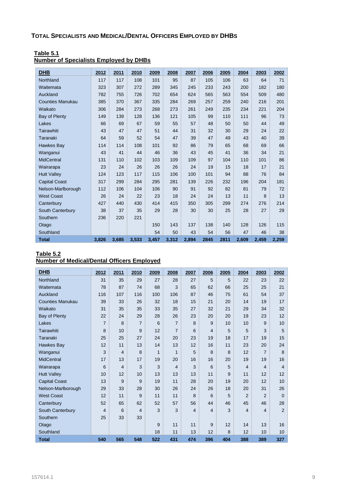| <b>DHB</b>              | 2012  | 2011  | 2010  | 2009  | 2008  | 2007  | 2006 | 2005 | 2004  | 2003  | 2002  |
|-------------------------|-------|-------|-------|-------|-------|-------|------|------|-------|-------|-------|
| Northland               | 117   | 117   | 108   | 101   | 95    | 87    | 105  | 106  | 63    | 64    | 71    |
| Waitemata               | 323   | 307   | 272   | 289   | 345   | 245   | 233  | 243  | 200   | 182   | 180   |
| Auckland                | 782   | 755   | 726   | 702   | 654   | 624   | 565  | 563  | 554   | 509   | 480   |
| <b>Counties Manukau</b> | 385   | 370   | 367   | 335   | 284   | 269   | 257  | 259  | 240   | 216   | 201   |
| Waikato                 | 306   | 284   | 273   | 268   | 273   | 261   | 249  | 235  | 234   | 221   | 204   |
| Bay of Plenty           | 149   | 139   | 128   | 136   | 121   | 105   | 99   | 110  | 111   | 96    | 73    |
| Lakes                   | 66    | 69    | 67    | 59    | 55    | 57    | 48   | 50   | 50    | 44    | 49    |
| Tairawhiti              | 43    | 47    | 47    | 51    | 44    | 31    | 32   | 30   | 29    | 24    | 22    |
| Taranaki                | 64    | 59    | 52    | 54    | 47    | 39    | 47   | 49   | 43    | 40    | 39    |
| Hawkes Bay              | 114   | 114   | 108   | 101   | 92    | 86    | 79   | 65   | 68    | 69    | 66    |
| Wanganui                | 43    | 41    | 44    | 46    | 36    | 43    | 45   | 41   | 36    | 34    | 21    |
| <b>MidCentral</b>       | 131   | 110   | 102   | 103   | 109   | 109   | 97   | 104  | 110   | 101   | 86    |
| Wairarapa               | 23    | 24    | 26    | 26    | 26    | 24    | 19   | 15   | 18    | 17    | 21    |
| <b>Hutt Valley</b>      | 124   | 123   | 117   | 115   | 106   | 100   | 101  | 94   | 88    | 76    | 84    |
| <b>Capital Coast</b>    | 317   | 299   | 284   | 295   | 281   | 139   | 226  | 232  | 196   | 204   | 181   |
| Nelson-Marlborough      | 112   | 106   | 104   | 106   | 90    | 91    | 92   | 82   | 81    | 79    | 72    |
| <b>West Coast</b>       | 26    | 24    | 22    | 23    | 18    | 24    | 24   | 13   | 11    | 8     | 13    |
| Canterbury              | 427   | 440   | 430   | 414   | 415   | 350   | 305  | 299  | 274   | 276   | 214   |
| South Canterbury        | 38    | 37    | 35    | 29    | 28    | 30    | 30   | 25   | 28    | 27    | 29    |
| Southern                | 236   | 220   | 221   |       |       |       |      |      |       |       |       |
| Otago                   |       |       |       | 150   | 143   | 137   | 138  | 140  | 128   | 126   | 115   |
| Southland               |       |       |       | 54    | 50    | 43    | 54   | 56   | 47    | 46    | 38    |
| <b>Total</b>            | 3,826 | 3,685 | 3,533 | 3,457 | 3,312 | 2,894 | 2845 | 2811 | 2,609 | 2,459 | 2,259 |

#### **Table 5.1 Number of Specialists Employed by DHBs**

#### **Table 5.2 Number of Medical/Dental Officers Employed**

| <b>DHB</b>              | 2012           | 2011           | 2010           | 2009 | 2008           | 2007 | 2006           | 2005            | 2004           | 2003           | 2002            |
|-------------------------|----------------|----------------|----------------|------|----------------|------|----------------|-----------------|----------------|----------------|-----------------|
| Northland               | 31             | 35             | 29             | 27   | 28             | 27   | 5              | 5               | 22             | 23             | 22              |
| Waitemata               | 78             | 87             | 74             | 68   | 3              | 65   | 62             | 66              | 25             | 25             | 21              |
| Auckland                | 116            | 107            | 116            | 100  | 106            | 87   | 46             | 75              | 61             | 54             | 37              |
| <b>Counties Manukau</b> | 39             | 33             | 26             | 32   | 18             | 15   | 21             | 20              | 14             | 19             | 17              |
| Waikato                 | 31             | 35             | 35             | 33   | 35             | 27   | 32             | 21              | 29             | 34             | 32              |
| Bay of Plenty           | 22             | 24             | 29             | 28   | 26             | 23   | 20             | 20              | 19             | 23             | 12              |
| Lakes                   | $\overline{7}$ | 8              | $\overline{7}$ | 6    | $\overline{7}$ | 8    | 9              | 10 <sup>1</sup> | 10             | 9              | 10 <sup>1</sup> |
| Tairawhiti              | 8              | 10             | 9              | 12   | $\overline{7}$ | 6    | $\overline{4}$ | 5               | 5              | 3              | 5               |
| Taranaki                | 25             | 25             | 27             | 24   | 20             | 23   | 19             | 18              | 17             | 19             | 15              |
| Hawkes Bay              | 12             | 11             | 13             | 14   | 13             | 12   | 16             | 11              | 23             | 20             | 24              |
| Wanganui                | 3              | $\overline{4}$ | 8              | 1    | $\mathbf{1}$   | 5    | 8              | 8               | 12             | 7              | 8               |
| <b>MidCentral</b>       | 17             | 13             | 17             | 19   | 20             | 16   | 16             | 20              | 19             | 19             | 16              |
| Wairarapa               | 6              | $\overline{4}$ | 3              | 3    | $\overline{4}$ | 3    | 6              | 5               | $\overline{4}$ | 4              | $\overline{4}$  |
| <b>Hutt Valley</b>      | 10             | 12             | 10             | 13   | 13             | 13   | 11             | 9               | 11             | 12             | 12              |
| <b>Capital Coast</b>    | 13             | 9              | 9              | 19   | 11             | 28   | 20             | 19              | 20             | 12             | 10              |
| Nelson-Marlborough      | 29             | 33             | 28             | 30   | 26             | 24   | 26             | 18              | 20             | 31             | 26              |
| <b>West Coast</b>       | 12             | 11             | 9              | 11   | 11             | 8    | 6              | 5               | 2              | $\overline{2}$ | $\Omega$        |
| Canterbury              | 52             | 65             | 62             | 52   | 57             | 56   | 44             | 46              | 45             | 46             | 28              |
| South Canterbury        | 4              | 6              | 4              | 3    | 3              | 4    | $\overline{4}$ | 3               | $\overline{4}$ | 4              | $\overline{2}$  |
| Southern                | 25             | 33             | 33             |      |                |      |                |                 |                |                |                 |
| Otago                   |                |                |                | 9    | 11             | 11   | 9              | 12              | 14             | 13             | 16              |
| Southland               |                |                |                | 18   | 11             | 13   | 12             | 8               | 12             | 10             | 10 <sup>1</sup> |
| <b>Total</b>            | 540            | 565            | 548            | 522  | 431            | 474  | 396            | 404             | 388            | 389            | 327             |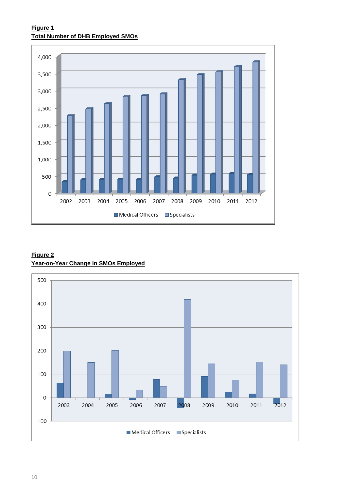# **Figure 1 Total Number of DHB Employed SMOs**



# **Figure 2 Year-on-Year Change in SMOs Employed**